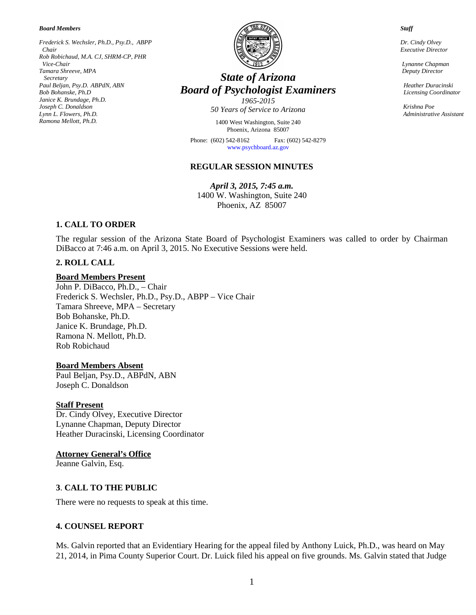*Board Members*

*Frederick S. Wechsler, Ph.D., Psy.D., ABPP Chair Rob Robichaud, M.A. CJ, SHRM-CP, PHR Vice-Chair Tamara Shreeve, MPA Secretary Paul Beljan, Psy.D. ABPdN, ABN Bob Bohanske, Ph.D Janice K. Brundage, Ph.D. Joseph C. Donaldson Lynn L. Flowers, Ph.D. Ramona Mellott, Ph.D.*



# *State of Arizona Board of Psychologist Examiners 1965-2015*

*50 Years of Service to Arizona*

1400 West Washington, Suite 240 Phoenix, Arizona 85007

Phone: (602) 542-8162 Fax: (602) 542-8279 [www.psychboard.az.gov](http://www.psychboard.az.gov/)

## **REGULAR SESSION MINUTES**

*April 3, 2015, 7:45 a.m.*  1400 W. Washington, Suite 240 Phoenix, AZ 85007

# **1. CALL TO ORDER**

The regular session of the Arizona State Board of Psychologist Examiners was called to order by Chairman DiBacco at 7:46 a.m. on April 3, 2015. No Executive Sessions were held.

#### **2. ROLL CALL**

#### **Board Members Present**

John P. DiBacco, Ph.D., – Chair Frederick S. Wechsler, Ph.D., Psy.D., ABPP – Vice Chair Tamara Shreeve, MPA – Secretary Bob Bohanske, Ph.D. Janice K. Brundage, Ph.D. Ramona N. Mellott, Ph.D. Rob Robichaud

#### **Board Members Absent**

Paul Beljan, Psy.D., ABPdN, ABN Joseph C. Donaldson

#### **Staff Present**

Dr. Cindy Olvey, Executive Director Lynanne Chapman, Deputy Director Heather Duracinski, Licensing Coordinator

#### **Attorney General's Office**

Jeanne Galvin, Esq.

#### **3**. **CALL TO THE PUBLIC**

There were no requests to speak at this time.

#### **4. COUNSEL REPORT**

Ms. Galvin reported that an Evidentiary Hearing for the appeal filed by Anthony Luick, Ph.D., was heard on May 21, 2014, in Pima County Superior Court. Dr. Luick filed his appeal on five grounds. Ms. Galvin stated that Judge

 *Dr. Cindy Olvey*

 *Staff*

 *Executive Director*

 *Lynanne Chapman Deputy Director*

 *Heather Duracinski Licensing Coordinator*

 *Krishna Poe Administrative Assistant*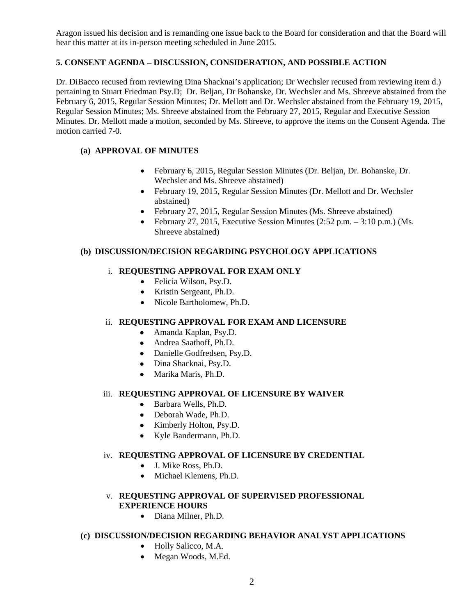Aragon issued his decision and is remanding one issue back to the Board for consideration and that the Board will hear this matter at its in-person meeting scheduled in June 2015.

# **5. CONSENT AGENDA – DISCUSSION, CONSIDERATION, AND POSSIBLE ACTION**

Dr. DiBacco recused from reviewing Dina Shacknai's application; Dr Wechsler recused from reviewing item d.) pertaining to Stuart Friedman Psy.D; Dr. Beljan, Dr Bohanske, Dr. Wechsler and Ms. Shreeve abstained from the February 6, 2015, Regular Session Minutes; Dr. Mellott and Dr. Wechsler abstained from the February 19, 2015, Regular Session Minutes; Ms. Shreeve abstained from the February 27, 2015, Regular and Executive Session Minutes. Dr. Mellott made a motion, seconded by Ms. Shreeve, to approve the items on the Consent Agenda. The motion carried 7-0.

# **(a) APPROVAL OF MINUTES**

- February 6, 2015, Regular Session Minutes (Dr. Beljan, Dr. Bohanske, Dr. Wechsler and Ms. Shreeve abstained)
- February 19, 2015, Regular Session Minutes (Dr. Mellott and Dr. Wechsler abstained)
- February 27, 2015, Regular Session Minutes (Ms. Shreeve abstained)
- February 27, 2015, Executive Session Minutes  $(2:52 \text{ p.m.} 3:10 \text{ p.m.})$  (Ms. Shreeve abstained)

## **(b) DISCUSSION/DECISION REGARDING PSYCHOLOGY APPLICATIONS**

# i. **REQUESTING APPROVAL FOR EXAM ONLY**

- Felicia Wilson, Psy.D.
- Kristin Sergeant, Ph.D.
- Nicole Bartholomew, Ph.D.

#### ii. **REQUESTING APPROVAL FOR EXAM AND LICENSURE**

- Amanda Kaplan, Psy.D.
- Andrea Saathoff, Ph.D.
- Danielle Godfredsen, Psy.D.
- Dina Shacknai, Psy.D.
- Marika Maris, Ph.D.

#### iii. **REQUESTING APPROVAL OF LICENSURE BY WAIVER**

- Barbara Wells, Ph.D.
- Deborah Wade, Ph.D.
- Kimberly Holton, Psy.D.
- Kyle Bandermann, Ph.D.

#### iv. **REQUESTING APPROVAL OF LICENSURE BY CREDENTIAL**

- J. Mike Ross, Ph.D.
- Michael Klemens, Ph.D.

#### v. **REQUESTING APPROVAL OF SUPERVISED PROFESSIONAL EXPERIENCE HOURS**

• Diana Milner, Ph.D.

#### **(c) DISCUSSION/DECISION REGARDING BEHAVIOR ANALYST APPLICATIONS**

- Holly Salicco, M.A.
- Megan Woods, M.Ed.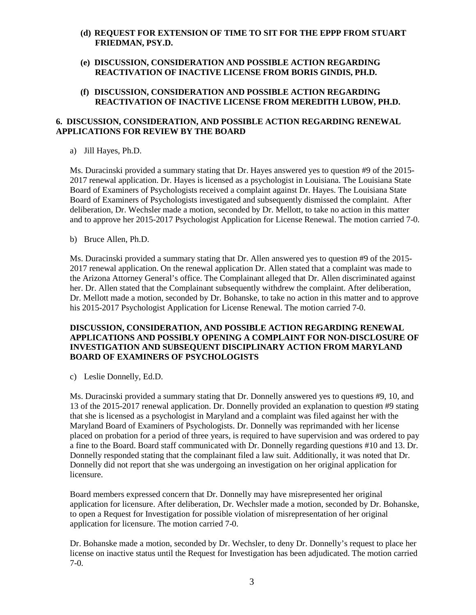- **(d) REQUEST FOR EXTENSION OF TIME TO SIT FOR THE EPPP FROM STUART FRIEDMAN, PSY.D.**
- **(e) DISCUSSION, CONSIDERATION AND POSSIBLE ACTION REGARDING REACTIVATION OF INACTIVE LICENSE FROM BORIS GINDIS, PH.D.**
- **(f) DISCUSSION, CONSIDERATION AND POSSIBLE ACTION REGARDING REACTIVATION OF INACTIVE LICENSE FROM MEREDITH LUBOW, PH.D.**

#### **6. DISCUSSION, CONSIDERATION, AND POSSIBLE ACTION REGARDING RENEWAL APPLICATIONS FOR REVIEW BY THE BOARD**

a) Jill Hayes, Ph.D.

Ms. Duracinski provided a summary stating that Dr. Hayes answered yes to question #9 of the 2015- 2017 renewal application. Dr. Hayes is licensed as a psychologist in Louisiana. The Louisiana State Board of Examiners of Psychologists received a complaint against Dr. Hayes. The Louisiana State Board of Examiners of Psychologists investigated and subsequently dismissed the complaint. After deliberation, Dr. Wechsler made a motion, seconded by Dr. Mellott, to take no action in this matter and to approve her 2015-2017 Psychologist Application for License Renewal. The motion carried 7-0.

b) Bruce Allen, Ph.D.

Ms. Duracinski provided a summary stating that Dr. Allen answered yes to question #9 of the 2015- 2017 renewal application. On the renewal application Dr. Allen stated that a complaint was made to the Arizona Attorney General's office. The Complainant alleged that Dr. Allen discriminated against her. Dr. Allen stated that the Complainant subsequently withdrew the complaint. After deliberation, Dr. Mellott made a motion, seconded by Dr. Bohanske, to take no action in this matter and to approve his 2015-2017 Psychologist Application for License Renewal. The motion carried 7-0.

## **DISCUSSION, CONSIDERATION, AND POSSIBLE ACTION REGARDING RENEWAL APPLICATIONS AND POSSIBLY OPENING A COMPLAINT FOR NON-DISCLOSURE OF INVESTIGATION AND SUBSEQUENT DISCIPLINARY ACTION FROM MARYLAND BOARD OF EXAMINERS OF PSYCHOLOGISTS**

c) Leslie Donnelly, Ed.D.

Ms. Duracinski provided a summary stating that Dr. Donnelly answered yes to questions #9, 10, and 13 of the 2015-2017 renewal application. Dr. Donnelly provided an explanation to question #9 stating that she is licensed as a psychologist in Maryland and a complaint was filed against her with the Maryland Board of Examiners of Psychologists. Dr. Donnelly was reprimanded with her license placed on probation for a period of three years, is required to have supervision and was ordered to pay a fine to the Board. Board staff communicated with Dr. Donnelly regarding questions #10 and 13. Dr. Donnelly responded stating that the complainant filed a law suit. Additionally, it was noted that Dr. Donnelly did not report that she was undergoing an investigation on her original application for licensure.

Board members expressed concern that Dr. Donnelly may have misrepresented her original application for licensure. After deliberation, Dr. Wechsler made a motion, seconded by Dr. Bohanske, to open a Request for Investigation for possible violation of misrepresentation of her original application for licensure. The motion carried 7-0.

Dr. Bohanske made a motion, seconded by Dr. Wechsler, to deny Dr. Donnelly's request to place her license on inactive status until the Request for Investigation has been adjudicated. The motion carried 7-0.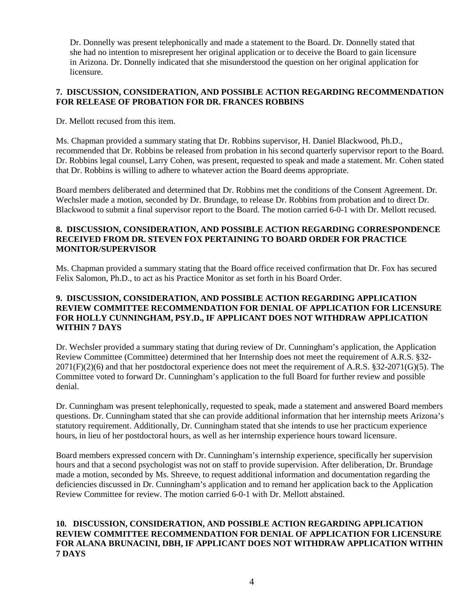Dr. Donnelly was present telephonically and made a statement to the Board. Dr. Donnelly stated that she had no intention to misrepresent her original application or to deceive the Board to gain licensure in Arizona. Dr. Donnelly indicated that she misunderstood the question on her original application for licensure.

## **7. DISCUSSION, CONSIDERATION, AND POSSIBLE ACTION REGARDING RECOMMENDATION FOR RELEASE OF PROBATION FOR DR. FRANCES ROBBINS**

Dr. Mellott recused from this item.

Ms. Chapman provided a summary stating that Dr. Robbins supervisor, H. Daniel Blackwood, Ph.D., recommended that Dr. Robbins be released from probation in his second quarterly supervisor report to the Board. Dr. Robbins legal counsel, Larry Cohen, was present, requested to speak and made a statement. Mr. Cohen stated that Dr. Robbins is willing to adhere to whatever action the Board deems appropriate.

Board members deliberated and determined that Dr. Robbins met the conditions of the Consent Agreement. Dr. Wechsler made a motion, seconded by Dr. Brundage, to release Dr. Robbins from probation and to direct Dr. Blackwood to submit a final supervisor report to the Board. The motion carried 6-0-1 with Dr. Mellott recused.

## **8. DISCUSSION, CONSIDERATION, AND POSSIBLE ACTION REGARDING CORRESPONDENCE RECEIVED FROM DR. STEVEN FOX PERTAINING TO BOARD ORDER FOR PRACTICE MONITOR/SUPERVISOR**

Ms. Chapman provided a summary stating that the Board office received confirmation that Dr. Fox has secured Felix Salomon, Ph.D., to act as his Practice Monitor as set forth in his Board Order.

## **9. DISCUSSION, CONSIDERATION, AND POSSIBLE ACTION REGARDING APPLICATION REVIEW COMMITTEE RECOMMENDATION FOR DENIAL OF APPLICATION FOR LICENSURE FOR HOLLY CUNNINGHAM, PSY.D., IF APPLICANT DOES NOT WITHDRAW APPLICATION WITHIN 7 DAYS**

Dr. Wechsler provided a summary stating that during review of Dr. Cunningham's application, the Application Review Committee (Committee) determined that her Internship does not meet the requirement of A.R.S. §32- 2071(F)(2)(6) and that her postdoctoral experience does not meet the requirement of A.R.S. §32-2071(G)(5). The Committee voted to forward Dr. Cunningham's application to the full Board for further review and possible denial.

Dr. Cunningham was present telephonically, requested to speak, made a statement and answered Board members questions. Dr. Cunningham stated that she can provide additional information that her internship meets Arizona's statutory requirement. Additionally, Dr. Cunningham stated that she intends to use her practicum experience hours, in lieu of her postdoctoral hours, as well as her internship experience hours toward licensure.

Board members expressed concern with Dr. Cunningham's internship experience, specifically her supervision hours and that a second psychologist was not on staff to provide supervision. After deliberation, Dr. Brundage made a motion, seconded by Ms. Shreeve, to request additional information and documentation regarding the deficiencies discussed in Dr. Cunningham's application and to remand her application back to the Application Review Committee for review. The motion carried 6-0-1 with Dr. Mellott abstained.

#### **10. DISCUSSION, CONSIDERATION, AND POSSIBLE ACTION REGARDING APPLICATION REVIEW COMMITTEE RECOMMENDATION FOR DENIAL OF APPLICATION FOR LICENSURE FOR ALANA BRUNACINI, DBH, IF APPLICANT DOES NOT WITHDRAW APPLICATION WITHIN 7 DAYS**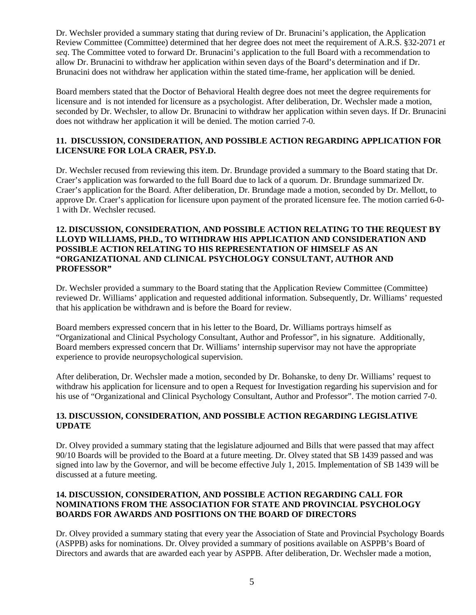Dr. Wechsler provided a summary stating that during review of Dr. Brunacini's application, the Application Review Committee (Committee) determined that her degree does not meet the requirement of A.R.S. §32-2071 *et seq*. The Committee voted to forward Dr. Brunacini's application to the full Board with a recommendation to allow Dr. Brunacini to withdraw her application within seven days of the Board's determination and if Dr. Brunacini does not withdraw her application within the stated time-frame, her application will be denied.

Board members stated that the Doctor of Behavioral Health degree does not meet the degree requirements for licensure and is not intended for licensure as a psychologist. After deliberation, Dr. Wechsler made a motion, seconded by Dr. Wechsler, to allow Dr. Brunacini to withdraw her application within seven days. If Dr. Brunacini does not withdraw her application it will be denied. The motion carried 7-0.

## **11. DISCUSSION, CONSIDERATION, AND POSSIBLE ACTION REGARDING APPLICATION FOR LICENSURE FOR LOLA CRAER, PSY.D.**

Dr. Wechsler recused from reviewing this item. Dr. Brundage provided a summary to the Board stating that Dr. Craer's application was forwarded to the full Board due to lack of a quorum. Dr. Brundage summarized Dr. Craer's application for the Board. After deliberation, Dr. Brundage made a motion, seconded by Dr. Mellott, to approve Dr. Craer's application for licensure upon payment of the prorated licensure fee. The motion carried 6-0- 1 with Dr. Wechsler recused.

#### **12. DISCUSSION, CONSIDERATION, AND POSSIBLE ACTION RELATING TO THE REQUEST BY LLOYD WILLIAMS, PH.D., TO WITHDRAW HIS APPLICATION AND CONSIDERATION AND POSSIBLE ACTION RELATING TO HIS REPRESENTATION OF HIMSELF AS AN "ORGANIZATIONAL AND CLINICAL PSYCHOLOGY CONSULTANT, AUTHOR AND PROFESSOR"**

Dr. Wechsler provided a summary to the Board stating that the Application Review Committee (Committee) reviewed Dr. Williams' application and requested additional information. Subsequently, Dr. Williams' requested that his application be withdrawn and is before the Board for review.

Board members expressed concern that in his letter to the Board, Dr. Williams portrays himself as "Organizational and Clinical Psychology Consultant, Author and Professor", in his signature. Additionally, Board members expressed concern that Dr. Williams' internship supervisor may not have the appropriate experience to provide neuropsychological supervision.

After deliberation, Dr. Wechsler made a motion, seconded by Dr. Bohanske, to deny Dr. Williams' request to withdraw his application for licensure and to open a Request for Investigation regarding his supervision and for his use of "Organizational and Clinical Psychology Consultant, Author and Professor". The motion carried 7-0.

## **13. DISCUSSION, CONSIDERATION, AND POSSIBLE ACTION REGARDING LEGISLATIVE UPDATE**

Dr. Olvey provided a summary stating that the legislature adjourned and Bills that were passed that may affect 90/10 Boards will be provided to the Board at a future meeting. Dr. Olvey stated that SB 1439 passed and was signed into law by the Governor, and will be become effective July 1, 2015. Implementation of SB 1439 will be discussed at a future meeting.

# **14. DISCUSSION, CONSIDERATION, AND POSSIBLE ACTION REGARDING CALL FOR NOMINATIONS FROM THE ASSOCIATION FOR STATE AND PROVINCIAL PSYCHOLOGY BOARDS FOR AWARDS AND POSITIONS ON THE BOARD OF DIRECTORS**

Dr. Olvey provided a summary stating that every year the Association of State and Provincial Psychology Boards (ASPPB) asks for nominations. Dr. Olvey provided a summary of positions available on ASPPB's Board of Directors and awards that are awarded each year by ASPPB. After deliberation, Dr. Wechsler made a motion,